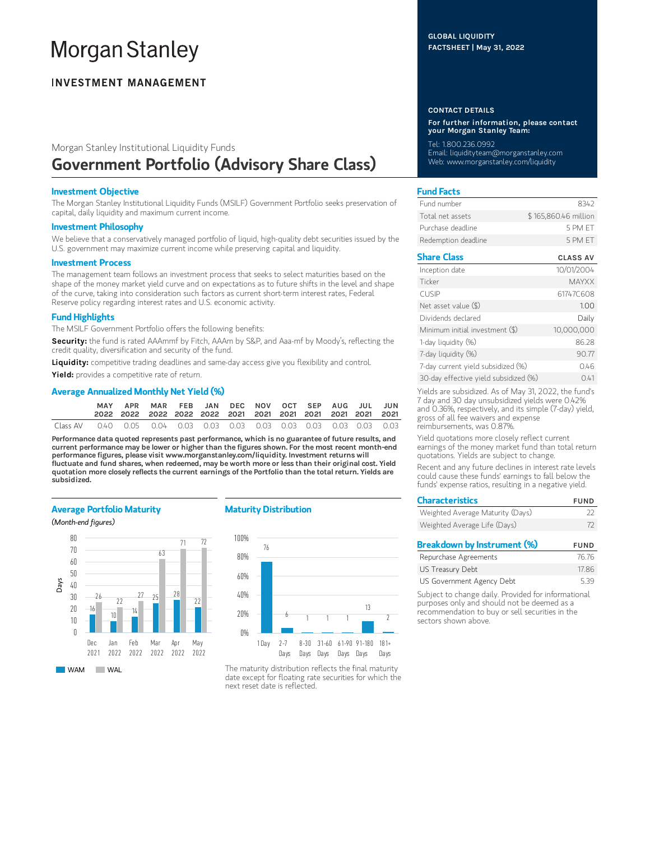# **Morgan Stanley**

# **INVESTMENT MANAGEMENT**

# Morgan Stanley Institutional Liquidity Funds Government Portfolio (Advisory Share Class)

## Investment Objective

The Morgan Stanley Institutional Liquidity Funds (MSILF) Government Portfolio seeks preservation of capital, daily liquidity and maximum current income.

#### Investment Philosophy

We believe that a conservatively managed portfolio of liquid, high-quality debt securities issued by the U.S. government may maximize current income while preserving capital and liquidity.

#### Investment Process

The management team follows an investment process that seeks to select maturities based on the shape of the money market yield curve and on expectations as to future shifts in the level and shape of the curve, taking into consideration such factors as current short-term interest rates, Federal Reserve policy regarding interest rates and U.S. economic activity.

# Fund Highlights

The MSILF Government Portfolio offers the following benefits:

Security: the fund is rated AAAmmf by Fitch, AAAm by S&P, and Aaa-mf by Moody's, reflecting the credit quality, diversification and security of the fund.

Liquidity: competitive trading deadlines and same-day access give you flexibility and control.

Yield: provides a competitive rate of return.

# Average Annualized Monthly Net Yield (%)

|          | MAY | APR MAR FEB JAN DEC NOV OCT SEP AUG JUL JUN |  |  |  |  |  |
|----------|-----|---------------------------------------------|--|--|--|--|--|
| Class AV |     |                                             |  |  |  |  |  |

Performance data quoted represents past performance, which is no guarantee of future results, and current performance may be lower or higher than the figures shown. For the most recent month-end performance figures, please visit www.morganstanley.com/liquidity. Investment returns will fluctuate and fund shares, when redeemed, may be worth more or less than their original cost. Yield quotation more closely reflects the current earnings of the Portfolio than the total return. Yields are subsidized.

## Average Portfolio Maturity

#### (Month-end figures)

**WAM** WAL



# Maturity Distribution



The maturity distribution reflects the final maturity date except for floating rate securities for which the next reset date is reflected.

## GLOBAL LIQUIDITY FACTSHEET | May 31, 2022

#### CONTACT DETAILS

For further information, please contact your Morgan Stanley Team:

Tel: 1.800.236.0992 Email: liquidityteam@morganstanley.com Web: www.morganstanley.com/liquidity

# Fund Facts

| Fund number         | 8342                 |
|---------------------|----------------------|
| Total net assets    | \$165,860,46 million |
| Purchase deadline.  | 5 PM FT              |
| Redemption deadline | 5 PM FT              |

# Share Class CLASS AV

| Inception date                        | 10/01/2004   |
|---------------------------------------|--------------|
| Ticker                                | <b>MAYXX</b> |
| <b>CUSIP</b>                          | 61747C608    |
| Net asset value (\$)                  | 1.00         |
| Dividends declared                    | Daily        |
| Minimum initial investment (\$)       | 10,000,000   |
| 1-day liquidity (%)                   | 86.28        |
| 7-day liquidity (%)                   | 90.77        |
| 7-day current yield subsidized (%)    | 0.46         |
| 30-day effective yield subsidized (%) | 041          |

Yields are subsidized. As of May 31, 2022, the fund's 7 day and 30 day unsubsidized yields were 0.42% and 0.36%, respectively, and its simple (7-day) yield, gross of all fee waivers and expense reimbursements, was 0.87%.

Yield quotations more closely reflect current earnings of the money market fund than total return quotations. Yields are subject to change.

Recent and any future declines in interest rate levels could cause these funds' earnings to fall below the funds' expense ratios, resulting in a negative yield.

| <b>Characteristics</b>           | <b>FUND</b> |
|----------------------------------|-------------|
| Weighted Average Maturity (Days) | フフ          |
| Weighted Average Life (Days)     | 72          |
| Breakdown by Instrument (%)      | <b>FUND</b> |
|                                  |             |

| Repurchase Agreements     | 76.76 |
|---------------------------|-------|
| US Treasury Debt          | 17.86 |
| US Government Agency Debt | 5.39  |

Subject to change daily. Provided for informational purposes only and should not be deemed as a recommendation to buy or sell securities in the sectors shown above.